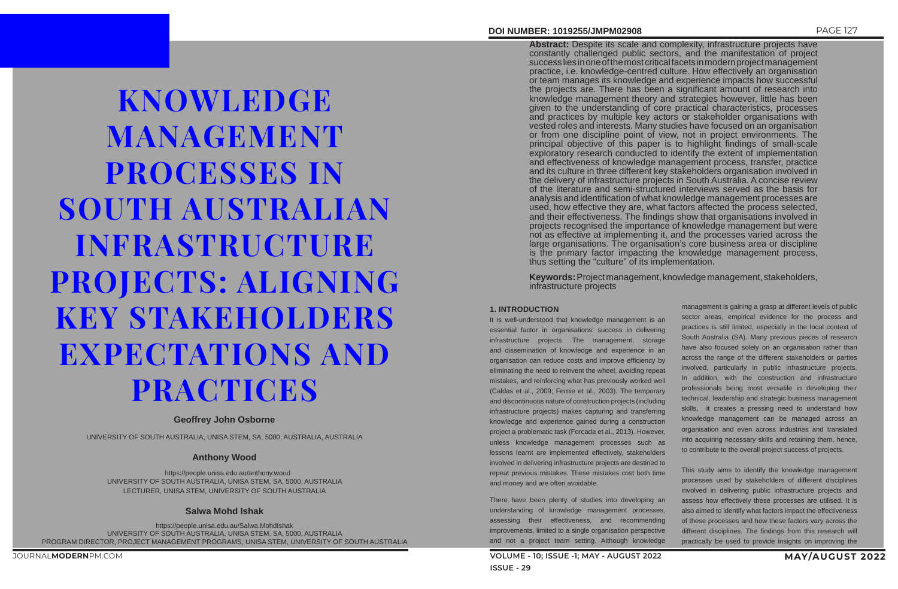JOURNAL**MODERN**PM.COM

KNOWLEDGE MANAGEMENT PROCESSES IN SOUTH AUSTRALIAN INFRASTRUCTURE PROJECTS: ALIGNING KEY STAKEHOLDERS EXPECTATIONS AND PRACTICES

### **Geoffrey John Osborne**

UNIVERSITY OF SOUTH AUSTRALIA, UNISA STEM, SA, 5000, AUSTRALIA, AUSTRALIA

### **Anthony Wood**

https://people.unisa.edu.au/anthony.wood UNIVERSITY OF SOUTH AUSTRALIA, UNISA STEM, SA, 5000, AUSTRALIA LECTURER, UNISA STEM, UNIVERSITY OF SOUTH AUSTRALIA

#### **Salwa Mohd Ishak**

https://people.unisa.edu.au/Salwa.MohdIshak UNIVERSITY OF SOUTH AUSTRALIA, UNISA STEM, SA, 5000, AUSTRALIA PROGRAM DIRECTOR, PROJECT MANAGEMENT PROGRAMS, UNISA STEM, UNIVERSITY OF SOUTH AUSTRALIA

#### **DOI NUMBER: 1019255/JMPM02908** PAGE 127

**Abstract:** Despite its scale and complexity, infrastructure projects have constantly challenged public sectors, and the manifestation of project success lies in one of the most critical facets in modern project management practice, i.e. knowledge-centred culture. How effectively an organisation or team manages its knowledge and experience impacts how successful the projects are. There has been a significant amount of research into knowledge management theory and strategies however, little has been given to the understanding of core practical characteristics, processes and practices by multiple key actors or stakeholder organisations with vested roles and interests. Many studies have focused on an organisation or from one discipline point of view, not in project environments. The principal objective of this paper is to highlight findings of small-scale exploratory research conducted to identify the extent of implementation and effectiveness of knowledge management process, transfer, practice and its culture in three different key stakeholders organisation involved in the delivery of infrastructure projects in South Australia. A concise review of the literature and semi-structured interviews served as the basis for analysis and identification of what knowledge management processes are used, how effective they are, what factors affected the process selected, and their effectiveness. The findings show that organisations involved in projects recognised the importance of knowledge management but were not as effective at implementing it, and the processes varied across the large organisations. The organisation's core business area or discipline is the primary factor impacting the knowledge management process, thus setting the "culture" of its implementation.

**Keywords:** Project management, knowledge management, stakeholders, infrastructure projects

#### **1. INTRODUCTION**

It is well-understood that knowledge management is an essential factor in organisations' success in delivering infrastructure projects. The management, storage and dissemination of knowledge and experience in an organisation can reduce costs and improve efficiency by eliminating the need to reinvent the wheel, avoiding repeat mistakes, and reinforcing what has previously worked well (Caldas et al., 2009; Fernie et al., 2003). The temporary and discontinuous nature of construction projects (including infrastructure projects) makes capturing and transferring knowledge and experience gained during a construction project a problematic task (Forcada et al., 2013). However, unless knowledge management processes such as lessons learnt are implemented effectively, stakeholders involved in delivering infrastructure projects are destined to repeat previous mistakes. These mistakes cost both time and money and are often avoidable.

There have been plenty of studies into developing an understanding of knowledge management processes, assessing their effectiveness, and recommending improvements, limited to a single organisation perspective and not a project team setting. Although knowledge

- management is gaining a grasp at different levels of public sector areas, empirical evidence for the process and practices is still limited, especially in the local context of South Australia (SA). Many previous pieces of research have also focused solely on an organisation rather than across the range of the different stakeholders or parties involved, particularly in public infrastructure projects. In addition, with the construction and infrastructure professionals being most versatile in developing their technical, leadership and strategic business management skills, it creates a pressing need to understand how knowledge management can be managed across an organisation and even across industries and translated into acquiring necessary skills and retaining them, hence, to contribute to the overall project success of projects.
- This study aims to identify the knowledge management processes used by stakeholders of different disciplines involved in delivering public infrastructure projects and assess how effectively these processes are utilised. It is also aimed to identify what factors impact the effectiveness of these processes and how these factors vary across the different disciplines. The findings from this research will practically be used to provide insights on improving the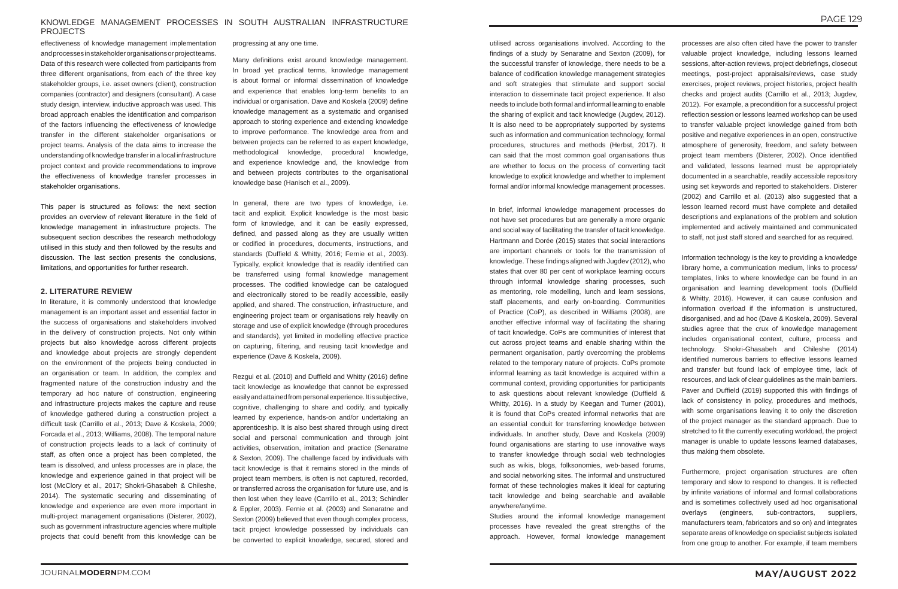#### KNOWLEDGE MANAGEMENT PROCESSES IN SOUTH AUSTRALIAN INFRASTRUCTURE PROJECTS

effectiveness of knowledge management implementation and processes in stakeholder organisations or project teams. Data of this research were collected from participants from three different organisations, from each of the three key stakeholder groups, i.e. asset owners (client), construction companies (contractor) and designers (consultant). A case study design, interview, inductive approach was used. This broad approach enables the identification and comparison of the factors influencing the effectiveness of knowledge transfer in the different stakeholder organisations or project teams. Analysis of the data aims to increase the understanding of knowledge transfer in a local infrastructure project context and provide recommendations to improve the effectiveness of knowledge transfer processes in stakeholder organisations.

This paper is structured as follows: the next section provides an overview of relevant literature in the field of knowledge management in infrastructure projects. The subsequent section describes the research methodology utilised in this study and then followed by the results and discussion. The last section presents the conclusions, limitations, and opportunities for further research.

#### **2. LITERATURE REVIEW**

In literature, it is commonly understood that knowledge management is an important asset and essential factor in the success of organisations and stakeholders involved in the delivery of construction projects. Not only within projects but also knowledge across different projects and knowledge about projects are strongly dependent on the environment of the projects being conducted in an organisation or team. In addition, the complex and fragmented nature of the construction industry and the temporary ad hoc nature of construction, engineering and infrastructure projects makes the capture and reuse of knowledge gathered during a construction project a difficult task (Carrillo et al., 2013; Dave & Koskela, 2009; Forcada et al., 2013; Williams, 2008). The temporal nature of construction projects leads to a lack of continuity of staff, as often once a project has been completed, the team is dissolved, and unless processes are in place, the knowledge and experience gained in that project will be lost (McClory et al., 2017; Shokri-Ghasabeh & Chileshe, 2014). The systematic securing and disseminating of knowledge and experience are even more important in multi-project management organisations (Disterer, 2002), such as government infrastructure agencies where multiple projects that could benefit from this knowledge can be

progressing at any one time.

Many definitions exist around knowledge management. In broad yet practical terms, knowledge management is about formal or informal dissemination of knowledge and experience that enables long-term benefits to an individual or organisation. Dave and Koskela (2009) define knowledge management as a systematic and organised approach to storing experience and extending knowledge to improve performance. The knowledge area from and between projects can be referred to as expert knowledge, methodological knowledge, procedural knowledge, and experience knowledge and, the knowledge from and between projects contributes to the organisational knowledge base (Hanisch et al., 2009).

In general, there are two types of knowledge, i.e. tacit and explicit. Explicit knowledge is the most basic form of knowledge, and it can be easily expressed, defined, and passed along as they are usually written or codified in procedures, documents, instructions, and standards (Duffield & Whitty, 2016; Fernie et al., 2003). Typically, explicit knowledge that is readily identified can be transferred using formal knowledge management processes. The codified knowledge can be catalogued and electronically stored to be readily accessible, easily applied, and shared. The construction, infrastructure, and engineering project team or organisations rely heavily on storage and use of explicit knowledge (through procedures and standards), yet limited in modelling effective practice on capturing, filtering, and reusing tacit knowledge and experience (Dave & Koskela, 2009).

Rezgui et al. (2010) and Duffield and Whitty (2016) define tacit knowledge as knowledge that cannot be expressed easily and attained from personal experience. It is subjective, cognitive, challenging to share and codify, and typically learned by experience, hands-on and/or undertaking an apprenticeship. It is also best shared through using direct social and personal communication and through joint activities, observation, imitation and practice (Senaratne & Sexton, 2009). The challenge faced by individuals with tacit knowledge is that it remains stored in the minds of project team members, is often is not captured, recorded, or transferred across the organisation for future use, and is then lost when they leave (Carrillo et al., 2013; Schindler & Eppler, 2003). Fernie et al. (2003) and Senaratne and Sexton (2009) believed that even though complex process, tacit project knowledge possessed by individuals can be converted to explicit knowledge, secured, stored and

utilised across organisations involved. According to the findings of a study by Senaratne and Sexton (2009), for the successful transfer of knowledge, there needs to be a balance of codification knowledge management strategies and soft strategies that stimulate and support social interaction to disseminate tacit project experience. It also needs to include both formal and informal learning to enable the sharing of explicit and tacit knowledge (Jugdev, 2012). It is also need to be appropriately supported by systems such as information and communication technology, formal procedures, structures and methods (Herbst, 2017). It can said that the most common goal organisations thus are whether to focus on the process of converting tacit knowledge to explicit knowledge and whether to implement formal and/or informal knowledge management processes.

In brief, informal knowledge management processes do not have set procedures but are generally a more organic and social way of facilitating the transfer of tacit knowledge. Hartmann and Dorée (2015) states that social interactions are important channels or tools for the transmission of knowledge. These findings aligned with Jugdev (2012), who states that over 80 per cent of workplace learning occurs through informal knowledge sharing processes, such as mentoring, role modelling, lunch and learn sessions, staff placements, and early on-boarding. Communities of Practice (CoP), as described in Williams (2008), are another effective informal way of facilitating the sharing of tacit knowledge. CoPs are communities of interest that cut across project teams and enable sharing within the permanent organisation, partly overcoming the problems related to the temporary nature of projects. CoPs promote informal learning as tacit knowledge is acquired within a communal context, providing opportunities for participants to ask questions about relevant knowledge (Duffield & Whitty, 2016). In a study by Keegan and Turner (2001), it is found that CoPs created informal networks that are an essential conduit for transferring knowledge between individuals. In another study, Dave and Koskela (2009) found organisations are starting to use innovative ways to transfer knowledge through social web technologies such as wikis, blogs, folksonomies, web-based forums, and social networking sites. The informal and unstructured format of these technologies makes it ideal for capturing tacit knowledge and being searchable and available anywhere/anytime.

Studies around the informal knowledge management processes have revealed the great strengths of the approach. However, formal knowledge management

processes are also often cited have the power to transfer valuable project knowledge, including lessons learned sessions, after-action reviews, project debriefings, closeout meetings, post-project appraisals/reviews, case study exercises, project reviews, project histories, project health checks and project audits (Carrillo et al., 2013; Jugdev, 2012). For example, a precondition for a successful project reflection session or lessons learned workshop can be used to transfer valuable project knowledge gained from both positive and negative experiences in an open, constructive atmosphere of generosity, freedom, and safety between project team members (Disterer, 2002). Once identified and validated, lessons learned must be appropriately documented in a searchable, readily accessible repository using set keywords and reported to stakeholders. Disterer (2002) and Carrillo et al. (2013) also suggested that a lesson learned record must have complete and detailed descriptions and explanations of the problem and solution implemented and actively maintained and communicated to staff, not just staff stored and searched for as required.

Information technology is the key to providing a knowledge library home, a communication medium, links to process/ templates, links to where knowledge can be found in an organisation and learning development tools (Duffield & Whitty, 2016). However, it can cause confusion and information overload if the information is unstructured, disorganised, and ad hoc (Dave & Koskela, 2009). Several studies agree that the crux of knowledge management includes organisational context, culture, process and technology. Shokri-Ghasabeh and Chileshe (2014) identified numerous barriers to effective lessons learned and transfer but found lack of employee time, lack of resources, and lack of clear guidelines as the main barriers. Paver and Duffield (2019) supported this with findings of lack of consistency in policy, procedures and methods, with some organisations leaving it to only the discretion of the project manager as the standard approach. Due to stretched to fit the currently executing workload, the project manager is unable to update lessons learned databases, thus making them obsolete.

Furthermore, project organisation structures are often temporary and slow to respond to changes. It is reflected by infinite variations of informal and formal collaborations and is sometimes collectively used ad hoc organisational overlays (engineers, sub-contractors, suppliers, manufacturers team, fabricators and so on) and integrates separate areas of knowledge on specialist subjects isolated from one group to another. For example, if team members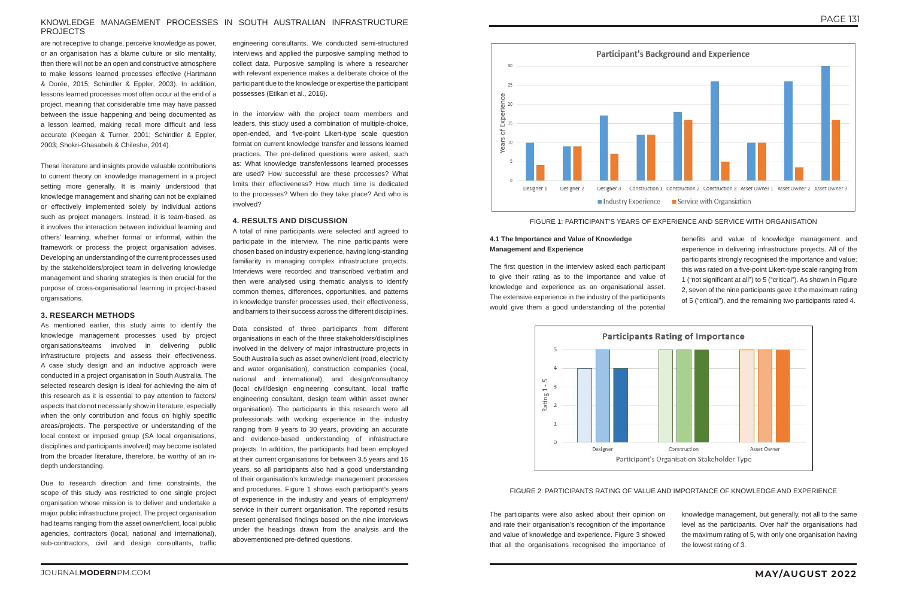#### KNOWLEDGE MANAGEMENT PROCESSES IN SOUTH AUSTRALIAN INFRASTRUCTURE PROJECTS

are not receptive to change, perceive knowledge as power, or an organisation has a blame culture or silo mentality, then there will not be an open and constructive atmosphere to make lessons learned processes effective (Hartmann & Dorée, 2015; Schindler & Eppler, 2003). In addition, lessons learned processes most often occur at the end of a project, meaning that considerable time may have passed between the issue happening and being documented as a lesson learned, making recall more difficult and less accurate (Keegan & Turner, 2001; Schindler & Eppler, 2003; Shokri-Ghasabeh & Chileshe, 2014).

These literature and insights provide valuable contributions to current theory on knowledge management in a project setting more generally. It is mainly understood that knowledge management and sharing can not be explained or effectively implemented solely by individual actions such as project managers. Instead, it is team-based, as it involves the interaction between individual learning and others' learning, whether formal or informal, within the framework or process the project organisation advises. Developing an understanding of the current processes used by the stakeholders/project team in delivering knowledge management and sharing strategies is then crucial for the purpose of cross-organisational learning in project-based organisations.

#### **3. RESEARCH METHODS**

As mentioned earlier, this study aims to identify the knowledge management processes used by project organisations/teams involved in delivering public infrastructure projects and assess their effectiveness. A case study design and an inductive approach were conducted in a project organisation in South Australia. The selected research design is ideal for achieving the aim of this research as it is essential to pay attention to factors/ aspects that do not necessarily show in literature, especially when the only contribution and focus on highly specific areas/projects. The perspective or understanding of the local context or imposed group (SA local organisations, disciplines and participants involved) may become isolated from the broader literature, therefore, be worthy of an indepth understanding.

Due to research direction and time constraints, the scope of this study was restricted to one single project organisation whose mission is to deliver and undertake a major public infrastructure project. The project organisation had teams ranging from the asset owner/client, local public agencies, contractors (local, national and international), sub-contractors, civil and design consultants, traffic

engineering consultants. We conducted semi-structured interviews and applied the purposive sampling method to collect data. Purposive sampling is where a researcher with relevant experience makes a deliberate choice of the participant due to the knowledge or expertise the participant possesses (Etikan et al., 2016).

In the interview with the project team members and leaders, this study used a combination of multiple-choice, open-ended, and five-point Likert-type scale question format on current knowledge transfer and lessons learned practices. The pre-defined questions were asked, such as: What knowledge transfer/lessons learned processes are used? How successful are these processes? What limits their effectiveness? How much time is dedicated to the processes? When do they take place? And who is involved?

#### **4. RESULTS AND DISCUSSION**

A total of nine participants were selected and agreed to participate in the interview. The nine participants were chosen based on industry experience, having long-standing familiarity in managing complex infrastructure projects. Interviews were recorded and transcribed verbatim and then were analysed using thematic analysis to identify common themes, differences, opportunities, and patterns in knowledge transfer processes used, their effectiveness, and barriers to their success across the different disciplines.

Data consisted of three participants from different organisations in each of the three stakeholders/disciplines involved in the delivery of major infrastructure projects in South Australia such as asset owner/client (road, electricity and water organisation), construction companies (local, national and international), and design/consultancy (local civil/design engineering consultant, local traffic engineering consultant, design team within asset owner organisation). The participants in this research were all professionals with working experience in the industry ranging from 9 years to 30 years, providing an accurate and evidence-based understanding of infrastructure projects. In addition, the participants had been employed at their current organisations for between 3.5 years and 16 years, so all participants also had a good understanding of their organisation's knowledge management processes and procedures. Figure 1 shows each participant's years of experience in the industry and years of employment/ service in their current organisation. The reported results present generalised findings based on the nine interviews under the headings drawn from the analysis and the abovementioned pre-defined questions.







#### **4.1 The Importance and Value of Knowledge Management and Experience**

The first question in the interview asked each participant to give their rating as to the importance and value of knowledge and experience as an organisational asset. The extensive experience in the industry of the participants would give them a good understanding of the potential



benefits and value of knowledge management and experience in delivering infrastructure projects. All of the participants strongly recognised the importance and value; this was rated on a five-point Likert-type scale ranging from 1 ("not significant at all") to 5 ("critical"). As shown in Figure 2, seven of the nine participants gave it the maximum rating of 5 ("critical"), and the remaining two participants rated 4.

#### FIGURE 2: PARTICIPANTS RATING OF VALUE AND IMPORTANCE OF KNOWLEDGE AND EXPERIENCE

The participants were also asked about their opinion on and rate their organisation's recognition of the importance and value of knowledge and experience. Figure 3 showed that all the organisations recognised the importance of knowledge management, but generally, not all to the same level as the participants. Over half the organisations had the maximum rating of 5, with only one organisation having the lowest rating of 3.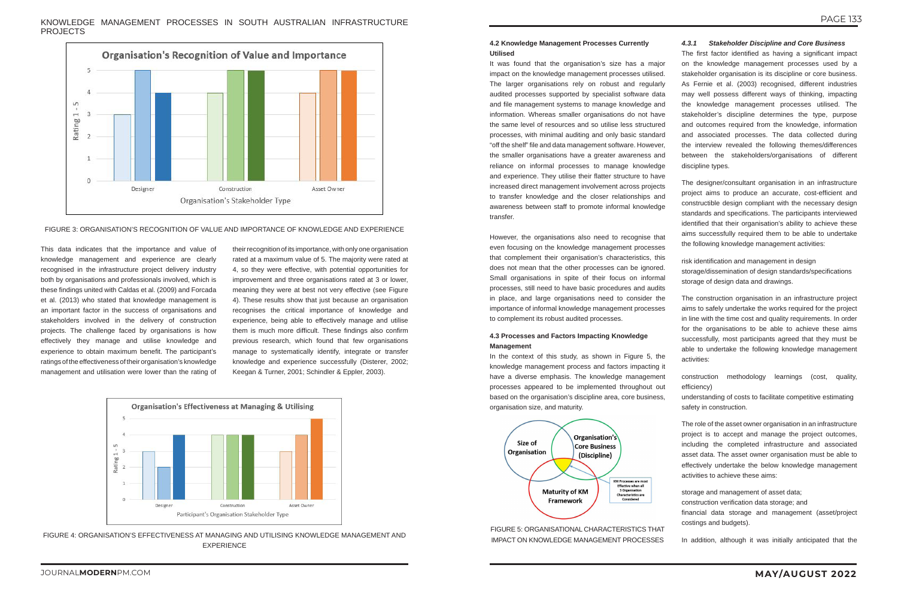KNOWLEDGE MANAGEMENT PROCESSES IN SOUTH AUSTRALIAN INFRASTRUCTURE PROJECTS



This data indicates that the importance and value of knowledge management and experience are clearly recognised in the infrastructure project delivery industry both by organisations and professionals involved, which is these findings united with Caldas et al. (2009) and Forcada et al. (2013) who stated that knowledge management is an important factor in the success of organisations and stakeholders involved in the delivery of construction projects. The challenge faced by organisations is how effectively they manage and utilise knowledge and experience to obtain maximum benefit. The participant's ratings of the effectiveness of their organisation's knowledge management and utilisation were lower than the rating of

their recognition of its importance, with only one organisation rated at a maximum value of 5. The majority were rated at 4, so they were effective, with potential opportunities for improvement and three organisations rated at 3 or lower, meaning they were at best not very effective (see Figure 4). These results show that just because an organisation recognises the critical importance of knowledge and experience, being able to effectively manage and utilise them is much more difficult. These findings also confirm previous research, which found that few organisations manage to systematically identify, integrate or transfer knowledge and experience successfully (Disterer, 2002; Keegan & Turner, 2001; Schindler & Eppler, 2003).



It was found that the organisation's size has a major impact on the knowledge management processes utilised. The larger organisations rely on robust and regularly audited processes supported by specialist software data and file management systems to manage knowledge and information. Whereas smaller organisations do not have the same level of resources and so utilise less structured processes, with minimal auditing and only basic standard "off the shelf" file and data management software. However, the smaller organisations have a greater awareness and reliance on informal processes to manage knowledge and experience. They utilise their flatter structure to have increased direct management involvement across projects to transfer knowledge and the closer relationships and awareness between staff to promote informal knowledge transfer.

#### **4.2 Knowledge Management Processes Currently Utilised**

However, the organisations also need to recognise that even focusing on the knowledge management processes that complement their organisation's characteristics, this does not mean that the other processes can be ignored. Small organisations in spite of their focus on informal processes, still need to have basic procedures and audits in place, and large organisations need to consider the importance of informal knowledge management processes to complement its robust audited processes.

#### **4.3 Processes and Factors Impacting Knowledge Management**

In the context of this study, as shown in Figure 5, the knowledge management process and factors impacting it have a diverse emphasis. The knowledge management processes appeared to be implemented throughout out based on the organisation's discipline area, core business, organisation size, and maturity.



FIGURE 5: ORGANISATIONAL CHARACTERISTICS THAT IMPACT ON KNOWLEDGE MANAGEMENT PROCESSES

#### *4.3.1 Stakeholder Discipline and Core Business*

The first factor identified as having a significant impact on the knowledge management processes used by a stakeholder organisation is its discipline or core business. As Fernie et al. (2003) recognised, different industries may well possess different ways of thinking, impacting the knowledge management processes utilised. The stakeholder's discipline determines the type, purpose and outcomes required from the knowledge, information and associated processes. The data collected during the interview revealed the following themes/differences between the stakeholders/organisations of different discipline types.

The designer/consultant organisation in an infrastructure project aims to produce an accurate, cost-efficient and constructible design compliant with the necessary design standards and specifications. The participants interviewed identified that their organisation's ability to achieve these aims successfully required them to be able to undertake the following knowledge management activities:

risk identification and management in design storage/dissemination of design standards/specifications storage of design data and drawings.

The construction organisation in an infrastructure project aims to safely undertake the works required for the project in line with the time cost and quality requirements. In order for the organisations to be able to achieve these aims successfully, most participants agreed that they must be able to undertake the following knowledge management activities:

construction methodology learnings (cost, quality, efficiency)

understanding of costs to facilitate competitive estimating safety in construction.

The role of the asset owner organisation in an infrastructure project is to accept and manage the project outcomes, including the completed infrastructure and associated asset data. The asset owner organisation must be able to effectively undertake the below knowledge management activities to achieve these aims:

storage and management of asset data; construction verification data storage; and financial data storage and management (asset/project costings and budgets).

In addition, although it was initially anticipated that the

FIGURE 3: ORGANISATION'S RECOGNITION OF VALUE AND IMPORTANCE OF KNOWLEDGE AND EXPERIENCE

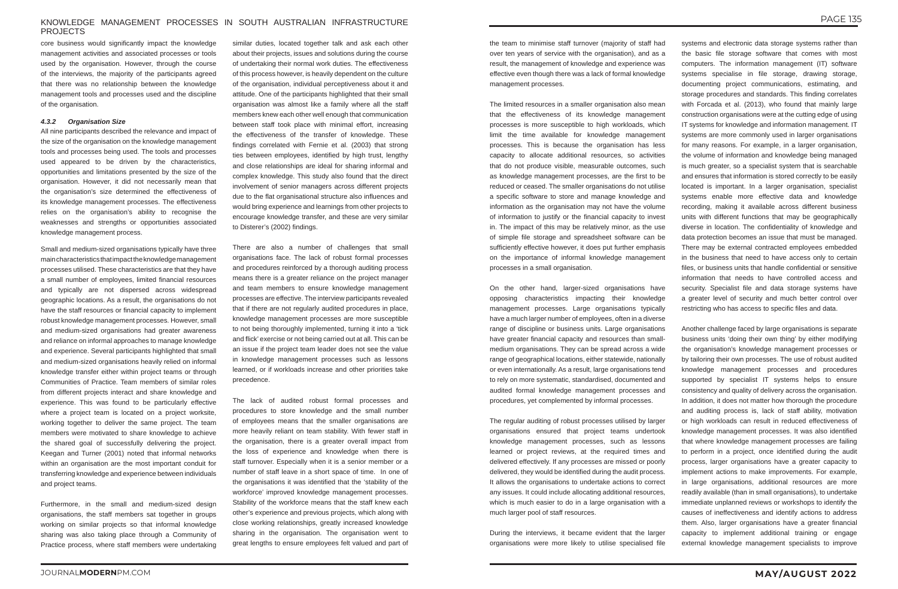#### KNOWLEDGE MANAGEMENT PROCESSES IN SOUTH AUSTRALIAN INFRASTRUCTURE PROJECTS

core business would significantly impact the knowledge management activities and associated processes or tools used by the organisation. However, through the course of the interviews, the majority of the participants agreed that there was no relationship between the knowledge management tools and processes used and the discipline of the organisation.

#### *4.3.2 Organisation Size*

All nine participants described the relevance and impact of the size of the organisation on the knowledge management tools and processes being used. The tools and processes used appeared to be driven by the characteristics, opportunities and limitations presented by the size of the organisation. However, it did not necessarily mean that the organisation's size determined the effectiveness of its knowledge management processes. The effectiveness relies on the organisation's ability to recognise the weaknesses and strengths or opportunities associated knowledge management process.

Small and medium-sized organisations typically have three main characteristics that impact the knowledge management processes utilised. These characteristics are that they have a small number of employees, limited financial resources and typically are not dispersed across widespread geographic locations. As a result, the organisations do not have the staff resources or financial capacity to implement robust knowledge management processes. However, small and medium-sized organisations had greater awareness and reliance on informal approaches to manage knowledge and experience. Several participants highlighted that small and medium-sized organisations heavily relied on informal knowledge transfer either within project teams or through Communities of Practice. Team members of similar roles from different projects interact and share knowledge and experience. This was found to be particularly effective where a project team is located on a project worksite, working together to deliver the same project. The team members were motivated to share knowledge to achieve the shared goal of successfully delivering the project. Keegan and Turner (2001) noted that informal networks within an organisation are the most important conduit for transferring knowledge and experience between individuals and project teams.

similar duties, located together talk and ask each other about their projects, issues and solutions during the course of undertaking their normal work duties. The effectiveness of this process however, is heavily dependent on the culture of the organisation, individual perceptiveness about it and attitude. One of the participants highlighted that their small organisation was almost like a family where all the staff members knew each other well enough that communication between staff took place with minimal effort, increasing the effectiveness of the transfer of knowledge. These findings correlated with Fernie et al. (2003) that strong ties between employees, identified by high trust, lengthy and close relationships are ideal for sharing informal and complex knowledge. This study also found that the direct involvement of senior managers across different projects due to the flat organisational structure also influences and would bring experience and learnings from other projects to encourage knowledge transfer, and these are very similar to Disterer's (2002) findings.

Furthermore, in the small and medium-sized design organisations, the staff members sat together in groups working on similar projects so that informal knowledge sharing was also taking place through a Community of Practice process, where staff members were undertaking

There are also a number of challenges that small organisations face. The lack of robust formal processes and procedures reinforced by a thorough auditing process means there is a greater reliance on the project manager and team members to ensure knowledge management processes are effective. The interview participants revealed that if there are not regularly audited procedures in place, knowledge management processes are more susceptible to not being thoroughly implemented, turning it into a 'tick and flick' exercise or not being carried out at all. This can be an issue if the project team leader does not see the value in knowledge management processes such as lessons learned, or if workloads increase and other priorities take precedence.

The lack of audited robust formal processes and procedures to store knowledge and the small number of employees means that the smaller organisations are more heavily reliant on team stability. With fewer staff in the organisation, there is a greater overall impact from the loss of experience and knowledge when there is staff turnover. Especially when it is a senior member or a number of staff leave in a short space of time. In one of the organisations it was identified that the 'stability of the workforce' improved knowledge management processes. Stability of the workforce means that the staff knew each other's experience and previous projects, which along with close working relationships, greatly increased knowledge sharing in the organisation. The organisation went to great lengths to ensure employees felt valued and part of

the team to minimise staff turnover (majority of staff had over ten years of service with the organisation), and as a result, the management of knowledge and experience was effective even though there was a lack of formal knowledge management processes.

The limited resources in a smaller organisation also mean that the effectiveness of its knowledge management processes is more susceptible to high workloads, which limit the time available for knowledge management processes. This is because the organisation has less capacity to allocate additional resources, so activities that do not produce visible, measurable outcomes, such as knowledge management processes, are the first to be reduced or ceased. The smaller organisations do not utilise a specific software to store and manage knowledge and information as the organisation may not have the volume of information to justify or the financial capacity to invest in. The impact of this may be relatively minor, as the use of simple file storage and spreadsheet software can be sufficiently effective however, it does put further emphasis on the importance of informal knowledge management processes in a small organisation.

On the other hand, larger-sized organisations have opposing characteristics impacting their knowledge management processes. Large organisations typically have a much larger number of employees, often in a diverse range of discipline or business units. Large organisations have greater financial capacity and resources than smallmedium organisations. They can be spread across a wide range of geographical locations, either statewide, nationally or even internationally. As a result, large organisations tend to rely on more systematic, standardised, documented and audited formal knowledge management processes and procedures, yet complemented by informal processes.

The regular auditing of robust processes utilised by larger organisations ensured that project teams undertook knowledge management processes, such as lessons learned or project reviews, at the required times and delivered effectively. If any processes are missed or poorly delivered, they would be identified during the audit process. It allows the organisations to undertake actions to correct any issues. It could include allocating additional resources, which is much easier to do in a large organisation with a much larger pool of staff resources.

During the interviews, it became evident that the larger organisations were more likely to utilise specialised file systems and electronic data storage systems rather than the basic file storage software that comes with most computers. The information management (IT) software systems specialise in file storage, drawing storage, documenting project communications, estimating, and storage procedures and standards. This finding correlates with Forcada et al. (2013), who found that mainly large construction organisations were at the cutting edge of using IT systems for knowledge and information management. IT systems are more commonly used in larger organisations for many reasons. For example, in a larger organisation, the volume of information and knowledge being managed is much greater, so a specialist system that is searchable and ensures that information is stored correctly to be easily located is important. In a larger organisation, specialist systems enable more effective data and knowledge recording, making it available across different business units with different functions that may be geographically diverse in location. The confidentiality of knowledge and data protection becomes an issue that must be managed. There may be external contracted employees embedded in the business that need to have access only to certain files, or business units that handle confidential or sensitive information that needs to have controlled access and security. Specialist file and data storage systems have a greater level of security and much better control over restricting who has access to specific files and data.

Another challenge faced by large organisations is separate business units 'doing their own thing' by either modifying the organisation's knowledge management processes or by tailoring their own processes. The use of robust audited knowledge management processes and procedures supported by specialist IT systems helps to ensure consistency and quality of delivery across the organisation. In addition, it does not matter how thorough the procedure and auditing process is, lack of staff ability, motivation or high workloads can result in reduced effectiveness of knowledge management processes. It was also identified that where knowledge management processes are failing to perform in a project, once identified during the audit process, larger organisations have a greater capacity to implement actions to make improvements. For example, in large organisations, additional resources are more readily available (than in small organisations), to undertake immediate unplanned reviews or workshops to identify the causes of ineffectiveness and identify actions to address them. Also, larger organisations have a greater financial capacity to implement additional training or engage external knowledge management specialists to improve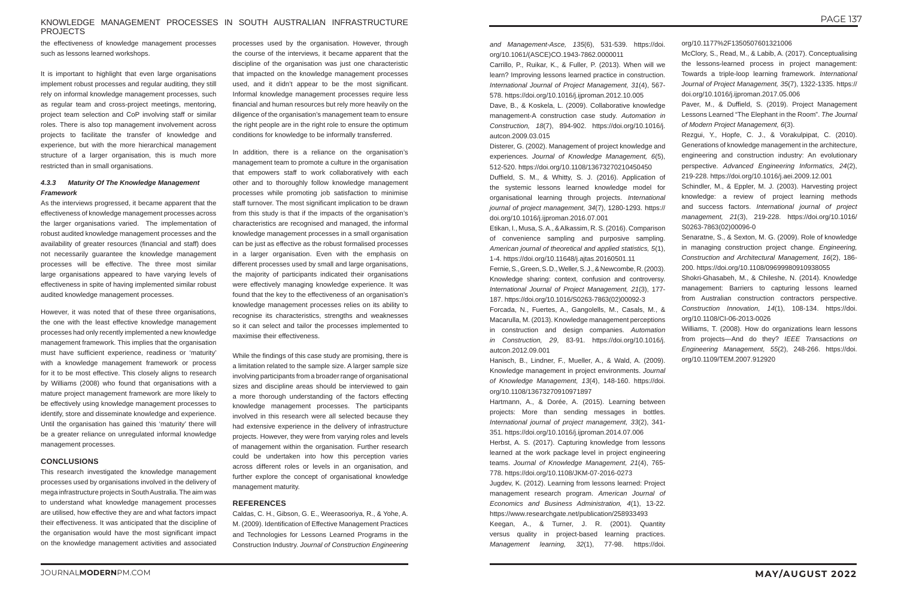#### KNOWLEDGE MANAGEMENT PROCESSES IN SOUTH AUSTRALIAN INFRASTRUCTURE PROJECTS

the effectiveness of knowledge management processes such as lessons learned workshops.

It is important to highlight that even large organisations implement robust processes and regular auditing, they still rely on informal knowledge management processes, such as regular team and cross-project meetings, mentoring, project team selection and CoP involving staff or similar roles. There is also top management involvement across projects to facilitate the transfer of knowledge and experience, but with the more hierarchical management structure of a larger organisation, this is much more restricted than in small organisations.

#### *4.3.3 Maturity Of The Knowledge Management Framework*

As the interviews progressed, it became apparent that the effectiveness of knowledge management processes across the larger organisations varied. The implementation of robust audited knowledge management processes and the availability of greater resources (financial and staff) does not necessarily guarantee the knowledge management processes will be effective. The three most similar large organisations appeared to have varying levels of effectiveness in spite of having implemented similar robust audited knowledge management processes.

However, it was noted that of these three organisations, the one with the least effective knowledge management processes had only recently implemented a new knowledge management framework. This implies that the organisation must have sufficient experience, readiness or 'maturity' with a knowledge management framework or process for it to be most effective. This closely aligns to research by Williams (2008) who found that organisations with a mature project management framework are more likely to be effectively using knowledge management processes to identify, store and disseminate knowledge and experience. Until the organisation has gained this 'maturity' there will be a greater reliance on unregulated informal knowledge management processes.

#### **CONCLUSIONS**

This research investigated the knowledge management processes used by organisations involved in the delivery of mega infrastructure projects in South Australia. The aim was to understand what knowledge management processes are utilised, how effective they are and what factors impact their effectiveness. It was anticipated that the discipline of the organisation would have the most significant impact on the knowledge management activities and associated

processes used by the organisation. However, through the course of the interviews, it became apparent that the discipline of the organisation was just one characteristic that impacted on the knowledge management processes used, and it didn't appear to be the most significant. Informal knowledge management processes require less financial and human resources but rely more heavily on the diligence of the organisation's management team to ensure the right people are in the right role to ensure the optimum conditions for knowledge to be informally transferred.

In addition, there is a reliance on the organisation's management team to promote a culture in the organisation that empowers staff to work collaboratively with each other and to thoroughly follow knowledge management processes while promoting job satisfaction to minimise staff turnover. The most significant implication to be drawn from this study is that if the impacts of the organisation's characteristics are recognised and managed, the informal knowledge management processes in a small organisation can be just as effective as the robust formalised processes in a larger organisation. Even with the emphasis on different processes used by small and large organisations, the majority of participants indicated their organisations were effectively managing knowledge experience. It was found that the key to the effectiveness of an organisation's knowledge management processes relies on its ability to recognise its characteristics, strengths and weaknesses so it can select and tailor the processes implemented to maximise their effectiveness.

While the findings of this case study are promising, there is a limitation related to the sample size. A larger sample size involving participants from a broader range of organisational sizes and discipline areas should be interviewed to gain a more thorough understanding of the factors effecting knowledge management processes. The participants involved in this research were all selected because they had extensive experience in the delivery of infrastructure projects. However, they were from varying roles and levels of management within the organisation. Further research could be undertaken into how this perception varies across different roles or levels in an organisation, and further explore the concept of organisational knowledge management maturity.

#### **REFERENCES**

Caldas, C. H., Gibson, G. E., Weerasooriya, R., & Yohe, A. M. (2009). Identification of Effective Management Practices and Technologies for Lessons Learned Programs in the Construction Industry. *Journal of Construction Engineering* 

*and Management-Asce, 135*(6), 531-539. https://doi. org/10.1061/(ASCE)CO.1943-7862.0000011

Carrillo, P., Ruikar, K., & Fuller, P. (2013). When will we learn? Improving lessons learned practice in construction. *International Journal of Project Management, 31*(4), 567- 578. https://doi.org/10.1016/j.ijproman.2012.10.005

Dave, B., & Koskela, L. (2009). Collaborative knowledge management-A construction case study. *Automation in Construction, 18*(7), 894-902. https://doi.org/10.1016/j. autcon.2009.03.015

Disterer, G. (2002). Management of project knowledge and experiences. *Journal of Knowledge Management, 6*(5), 512-520. https://doi.org/10.1108/13673270210450450

Duffield, S. M., & Whitty, S. J. (2016). Application of the systemic lessons learned knowledge model for organisational learning through projects. *International journal of project management, 34*(7), 1280-1293. https:// doi.org/10.1016/j.ijproman.2016.07.001

Etikan, I., Musa, S. A., & Alkassim, R. S. (2016). Comparison of convenience sampling and purposive sampling. *American journal of theoretical and applied statistics, 5*(1), 1-4. https://doi.org/10.11648/j.ajtas.20160501.11

Fernie, S., Green, S. D., Weller, S. J., & Newcombe, R. (2003). Knowledge sharing: context, confusion and controversy. *International Journal of Project Management, 21*(3), 177- 187. https://doi.org/10.1016/S0263-7863(02)00092-3

Forcada, N., Fuertes, A., Gangolells, M., Casals, M., & Macarulla, M. (2013). Knowledge management perceptions in construction and design companies. *Automation in Construction, 29*, 83-91. https://doi.org/10.1016/j. autcon.2012.09.001

Hanisch, B., Lindner, F., Mueller, A., & Wald, A. (2009). Knowledge management in project environments. *Journal of Knowledge Management, 13*(4), 148-160. https://doi. org/10.1108/13673270910971897

Hartmann, A., & Dorée, A. (2015). Learning between projects: More than sending messages in bottles. *International journal of project management, 33*(2), 341- 351. https://doi.org/10.1016/j.ijproman.2014.07.006

Herbst, A. S. (2017). Capturing knowledge from lessons learned at the work package level in project engineering teams. *Journal of Knowledge Management, 21*(4), 765- 778. https://doi.org/10.1108/JKM-07-2016-0273

Jugdev, K. (2012). Learning from lessons learned: Project management research program. *American Journal of Economics and Business Administration, 4*(1), 13-22. https://www.researchgate.net/publication/258933493

Keegan, A., & Turner, J. R. (2001). Quantity versus quality in project-based learning practices. *Management learning, 32*(1), 77-98. https://doi.

org/10.1177%2F1350507601321006

McClory, S., Read, M., & Labib, A. (2017). Conceptualising the lessons-learned process in project management: Towards a triple-loop learning framework. *International Journal of Project Management, 35*(7), 1322-1335. https:// doi.org/10.1016/j.ijproman.2017.05.006

Paver, M., & Duffield, S. (2019). Project Management Lessons Learned "The Elephant in the Room". *The Journal of Modern Project Management, 6*(3).

Rezgui, Y., Hopfe, C. J., & Vorakulpipat, C. (2010). Generations of knowledge management in the architecture, engineering and construction industry: An evolutionary perspective. *Advanced Engineering Informatics, 24*(2), 219-228. https://doi.org/10.1016/j.aei.2009.12.001

Schindler, M., & Eppler, M. J. (2003). Harvesting project knowledge: a review of project learning methods and success factors. *International journal of project management, 21*(3), 219-228. https://doi.org/10.1016/ S0263-7863(02)00096-0

Senaratne, S., & Sexton, M. G. (2009). Role of knowledge in managing construction project change. *Engineering, Construction and Architectural Management, 16*(2), 186- 200. https://doi.org/10.1108/09699980910938055

Shokri-Ghasabeh, M., & Chileshe, N. (2014). Knowledge management: Barriers to capturing lessons learned from Australian construction contractors perspective. *Construction Innovation, 14*(1), 108-134. https://doi. org/10.1108/CI-06-2013-0026

Williams, T. (2008). How do organizations learn lessons from projects—And do they? *IEEE Transactions on Engineering Management, 55*(2), 248-266. https://doi. org/10.1109/TEM.2007.912920